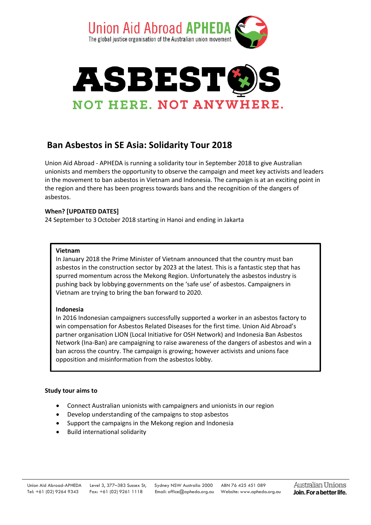



# **Ban Asbestos in SE Asia: Solidarity Tour 2018**

Union Aid Abroad - APHEDA is running a solidarity tour in September 2018 to give Australian unionists and members the opportunity to observe the campaign and meet key activists and leaders in the movement to ban asbestos in Vietnam and Indonesia. The campaign is at an exciting point in the region and there has been progress towards bans and the recognition of the dangers of asbestos.

## **When? [UPDATED DATES]**

24 September to 3October 2018 starting in Hanoi and ending in Jakarta

### **Vietnam**

In January 2018 the Prime Minister of Vietnam announced that the country must ban asbestos in the construction sector by 2023 at the latest. This is a fantastic step that has spurred momentum across the Mekong Region. Unfortunately the asbestos industry is pushing back by lobbying governments on the 'safe use' of asbestos. Campaigners in Vietnam are trying to bring the ban forward to 2020.

### **Indonesia**

In 2016 Indonesian campaigners successfully supported a worker in an asbestos factory to win compensation for Asbestos Related Diseases for the first time. Union Aid Abroad's partner organisation LION (Local Initiative for OSH Network) and Indonesia Ban Asbestos Network (Ina-Ban) are campaigning to raise awareness of the dangers of asbestos and win a ban across the country. The campaign is growing; however activists and unions face opposition and misinformation from the asbestos lobby.

### **Study tour aims to**

- Connect Australian unionists with campaigners and unionists in our region
- Develop understanding of the campaigns to stop asbestos
- Support the campaigns in the Mekong region and Indonesia
- Build international solidarity